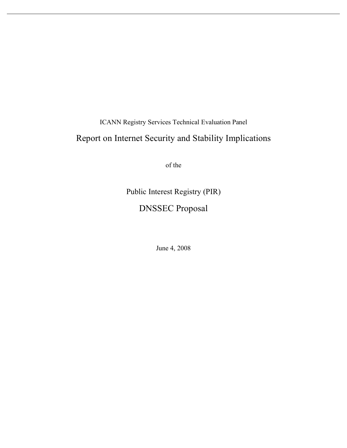ICANN Registry Services Technical Evaluation Panel

# Report on Internet Security and Stability Implications

of the

Public Interest Registry (PIR) DNSSEC Proposal

June 4, 2008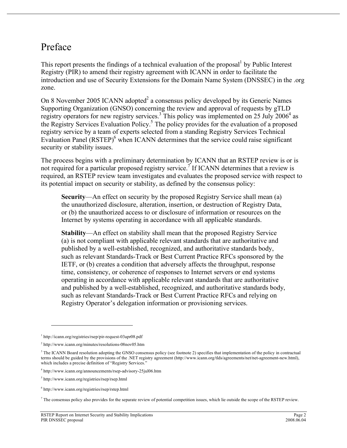# Preface

This report presents the findings of a technical evaluation of the proposal<sup>1</sup> by Public Interest Registry (PIR) to amend their registry agreement with ICANN in order to facilitate the introduction and use of Security Extensions for the Domain Name System (DNSSEC) in the .org zone.

On 8 November 2005 ICANN adopted $2$  a consensus policy developed by its Generic Names Supporting Organization (GNSO) concerning the review and approval of requests by gTLD registry operators for new registry services.<sup>3</sup> This policy was implemented on 25 July 2006<sup>4</sup> as the Registry Services Evaluation Policy. <sup>5</sup> The policy provides for the evaluation of a proposed registry service by a team of experts selected from a standing Registry Services Technical Evaluation Panel (RSTEP)<sup>6</sup> when ICANN determines that the service could raise significant security or stability issues.

The process begins with a preliminary determination by ICANN that an RSTEP review is or is not required for a particular proposed registry service.<sup> $\tau$ </sup> If ICANN determines that a review is required, an RSTEP review team investigates and evaluates the proposed service with respect to its potential impact on security or stability, as defined by the consensus policy:

**Security**—An effect on security by the proposed Registry Service shall mean (a) the unauthorized disclosure, alteration, insertion, or destruction of Registry Data, or (b) the unauthorized access to or disclosure of information or resources on the Internet by systems operating in accordance with all applicable standards.

**Stability**—An effect on stability shall mean that the proposed Registry Service (a) is not compliant with applicable relevant standards that are authoritative and published by a well-established, recognized, and authoritative standards body, such as relevant Standards-Track or Best Current Practice RFCs sponsored by the IETF, or (b) creates a condition that adversely affects the throughput, response time, consistency, or coherence of responses to Internet servers or end systems operating in accordance with applicable relevant standards that are authoritative and published by a well-established, recognized, and authoritative standards body, such as relevant Standards-Track or Best Current Practice RFCs and relying on Registry Operator's delegation information or provisioning services.

1

<sup>1</sup> http://icann.org/registries/rsep/pir-request-03apr08.pdf

<sup>2</sup> http://www.icann.org/minutes/resolutions-08nov05.htm

<sup>&</sup>lt;sup>3</sup> The ICANN Board resolution adopting the GNSO consensus policy (see footnote 2) specifies that implementation of the policy in contractual terms should be guided by the provisions of the .NET registry agreement (http://www.icann.org/tlds/agreements/net/net-agreement-new.html), which includes a precise definition of "Registry Services."

<sup>4</sup> http://www.icann.org/announcements/rsep-advisory-25jul06.htm

<sup>5</sup> http://www.icann.org/registries/rsep/rsep.html

<sup>6</sup> http://www.icann.org/registries/rsep/rstep.html

 $^7$  The consensus policy also provides for the separate review of potential competition issues, which lie outside the scope of the RSTEP review.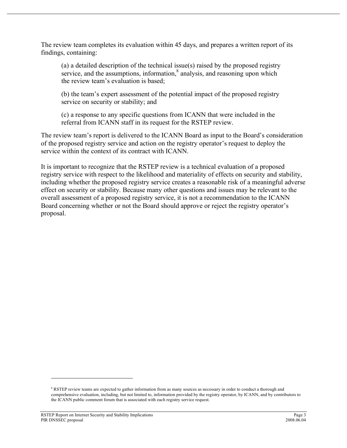The review team completes its evaluation within 45 days, and prepares a written report of its findings, containing:

(a) a detailed description of the technical issue(s) raised by the proposed registry service, and the assumptions, information, $\delta$  analysis, and reasoning upon which the review team's evaluation is based;

(b) the team's expert assessment of the potential impact of the proposed registry service on security or stability; and

(c) a response to any specific questions from ICANN that were included in the referral from ICANN staff in its request for the RSTEP review.

The review team's report is delivered to the ICANN Board as input to the Board's consideration of the proposed registry service and action on the registry operator's request to deploy the service within the context of its contract with ICANN.

It is important to recognize that the RSTEP review is a technical evaluation of a proposed registry service with respect to the likelihood and materiality of effects on security and stability, including whether the proposed registry service creates a reasonable risk of a meaningful adverse effect on security or stability. Because many other questions and issues may be relevant to the overall assessment of a proposed registry service, it is not a recommendation to the ICANN Board concerning whether or not the Board should approve or reject the registry operator's proposal.

1

<sup>&</sup>lt;sup>8</sup> RSTEP review teams are expected to gather information from as many sources as necessary in order to conduct a thorough and comprehensive evaluation, including, but not limited to, information provided by the registry operator, by ICANN, and by contributors to the ICANN public comment forum that is associated with each registry service request.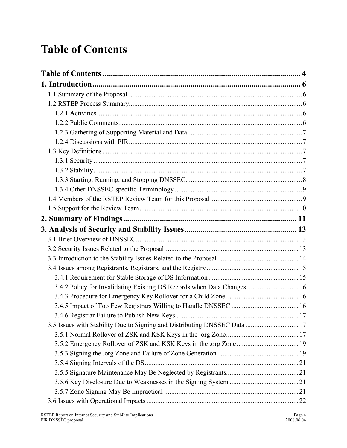# **Table of Contents**

| 3.4.2 Policy for Invalidating Existing DS Records when Data Changes  16   |  |
|---------------------------------------------------------------------------|--|
|                                                                           |  |
|                                                                           |  |
|                                                                           |  |
| 3.5 Issues with Stability Due to Signing and Distributing DNSSEC Data  17 |  |
|                                                                           |  |
|                                                                           |  |
|                                                                           |  |
|                                                                           |  |
|                                                                           |  |
|                                                                           |  |
|                                                                           |  |
|                                                                           |  |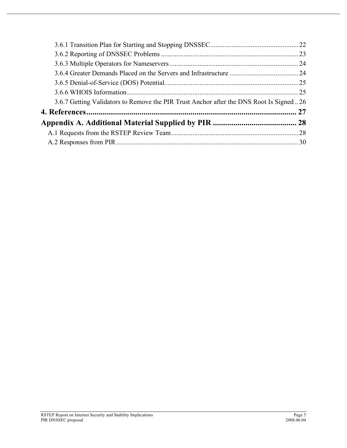| 3.6.7 Getting Validators to Remove the PIR Trust Anchor after the DNS Root Is Signed 26 |  |
|-----------------------------------------------------------------------------------------|--|
|                                                                                         |  |
|                                                                                         |  |
|                                                                                         |  |
|                                                                                         |  |
|                                                                                         |  |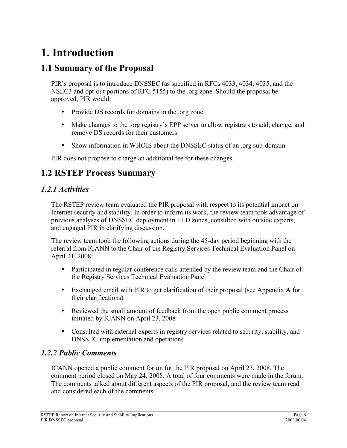# **1. Introduction**

## **1.1 Summary of the Proposal**

PIR's proposal is to introduce DNSSEC (as specified in RFCs 4033, 4034, 4035, and the NSEC3 and opt-out portions of RFC 5155) to the .org zone. Should the proposal be approved, PIR would:

- Provide DS records for domains in the .org zone
- Make changes to the .org registry's EPP server to allow registrars to add, change, and remove DS records for their customers
- Show information in WHOIS about the DNSSEC status of an .org sub-domain

PIR does not propose to charge an additional fee for these changes.

## **1.2 RSTEP Process Summary**

#### *1.2.1 Activities*

The RSTEP review team evaluated the PIR proposal with respect to its potential impact on Internet security and stability. In order to inform its work, the review team took advantage of previous analyses of DNSSEC deployment in TLD zones, consulted with outside experts, and engaged PIR in clarifying discussion.

The review team took the following actions during the 45-day period beginning with the referral from ICANN to the Chair of the Registry Services Technical Evaluation Panel on April 21, 2008:

- Participated in regular conference calls attended by the review team and the Chair of the Registry Services Technical Evaluation Panel
- Exchanged email with PIR to get clarification of their proposal (see Appendix A for their clarifications)
- Reviewed the small amount of feedback from the open public comment process initiated by ICANN on April 23, 2008
- Consulted with external experts in registry services related to security, stability, and DNSSEC implementation and operations

#### *1.2.2 Public Comments*

ICANN opened a public comment forum for the PIR proposal on April 23, 2008. The comment period closed on May 24, 2008. A total of four comments were made in the forum. The comments talked about different aspects of the PIR proposal, and the review team read and considered each of the comments.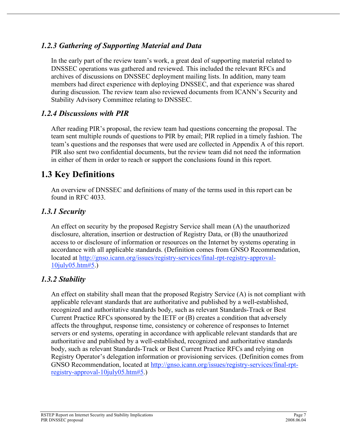#### *1.2.3 Gathering of Supporting Material and Data*

In the early part of the review team's work, a great deal of supporting material related to DNSSEC operations was gathered and reviewed. This included the relevant RFCs and archives of discussions on DNSSEC deployment mailing lists. In addition, many team members had direct experience with deploying DNSSEC, and that experience was shared during discussion. The review team also reviewed documents from ICANN's Security and Stability Advisory Committee relating to DNSSEC.

### *1.2.4 Discussions with PIR*

After reading PIR's proposal, the review team had questions concerning the proposal. The team sent multiple rounds of questions to PIR by email; PIR replied in a timely fashion. The team's questions and the responses that were used are collected in Appendix A of this report. PIR also sent two confidential documents, but the review team did not need the information in either of them in order to reach or support the conclusions found in this report.

## **1.3 Key Definitions**

An overview of DNSSEC and definitions of many of the terms used in this report can be found in RFC 4033.

## *1.3.1 Security*

An effect on security by the proposed Registry Service shall mean (A) the unauthorized disclosure, alteration, insertion or destruction of Registry Data, or (B) the unauthorized access to or disclosure of information or resources on the Internet by systems operating in accordance with all applicable standards. (Definition comes from GNSO Recommendation, located at http://gnso.icann.org/issues/registry-services/final-rpt-registry-approval-10july05.htm#5.)

## *1.3.2 Stability*

An effect on stability shall mean that the proposed Registry Service (A) is not compliant with applicable relevant standards that are authoritative and published by a well-established, recognized and authoritative standards body, such as relevant Standards-Track or Best Current Practice RFCs sponsored by the IETF or (B) creates a condition that adversely affects the throughput, response time, consistency or coherence of responses to Internet servers or end systems, operating in accordance with applicable relevant standards that are authoritative and published by a well-established, recognized and authoritative standards body, such as relevant Standards-Track or Best Current Practice RFCs and relying on Registry Operator's delegation information or provisioning services. (Definition comes from GNSO Recommendation, located at http://gnso.icann.org/issues/registry-services/final-rptregistry-approval-10july05.htm#5.)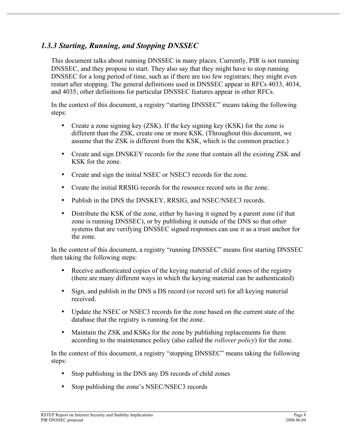#### *1.3.3 Starting, Running, and Stopping DNSSEC*

This document talks about running DNSSEC in many places. Currently, PIR is not running DNSSEC, and they propose to start. They also say that they might have to stop running DNSSEC for a long period of time, such as if there are too few registrars; they might even restart after stopping. The general definitions used in DNSSEC appear in RFCs 4033, 4034, and 4035; other definitions for particular DNSSEC features appear in other RFCs.

In the context of this document, a registry "starting DNSSEC" means taking the following steps:

- Create a zone signing key (ZSK). If the key signing key (KSK) for the zone is different than the ZSK, create one or more KSK. (Throughout this document, we assume that the ZSK is different from the KSK, which is the common practice.)
- Create and sign DNSKEY records for the zone that contain all the existing ZSK and KSK for the zone.
- Create and sign the initial NSEC or NSEC3 records for the zone.
- Create the initial RRSIG records for the resource record sets in the zone.
- Publish in the DNS the DNSKEY, RRSIG, and NSEC/NSEC3 records.
- Distribute the KSK of the zone, either by having it signed by a parent zone (if that zone is running DNSSEC), or by publishing it outside of the DNS so that other systems that are verifying DNSSEC signed responses can use it as a trust anchor for the zone.

In the context of this document, a registry "running DNSSEC" means first starting DNSSEC then taking the following steps:

- Receive authenticated copies of the keying material of child zones of the registry (there are many different ways in which the keying material can be authenticated)
- Sign, and publish in the DNS a DS record (or record set) for all keying material received.
- Update the NSEC or NSEC3 records for the zone based on the current state of the database that the registry is running for the zone.
- Maintain the ZSK and KSKs for the zone by publishing replacements for them according to the maintenance policy (also called the *rollover policy*) for the zone.

In the context of this document, a registry "stopping DNSSEC" means taking the following steps:

- Stop publishing in the DNS any DS records of child zones
- Stop publishing the zone's NSEC/NSEC3 records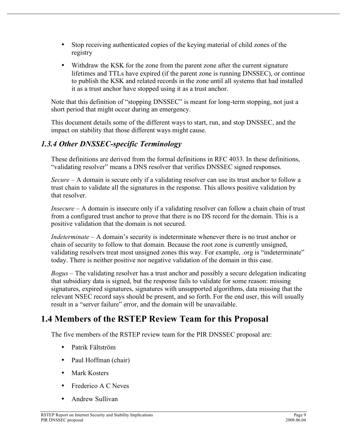- Stop receiving authenticated copies of the keying material of child zones of the registry
- Withdraw the KSK for the zone from the parent zone after the current signature lifetimes and TTLs have expired (if the parent zone is running DNSSEC), or continue to publish the KSK and related records in the zone until all systems that had installed it as a trust anchor have stopped using it as a trust anchor.

Note that this definition of "stopping DNSSEC" is meant for long-term stopping, not just a short period that might occur during an emergency.

This document details some of the different ways to start, run, and stop DNSSEC, and the impact on stability that those different ways might cause.

#### *1.3.4 Other DNSSEC-specific Terminology*

These definitions are derived from the formal definitions in RFC 4033. In these definitions, "validating resolver" means a DNS resolver that verifies DNSSEC signed responses.

*Secure* – A domain is secure only if a validating resolver can use its trust anchor to follow a trust chain to validate all the signatures in the response. This allows positive validation by that resolver.

*Insecure* – A domain is insecure only if a validating resolver can follow a chain chain of trust from a configured trust anchor to prove that there is no DS record for the domain. This is a positive validation that the domain is not secured.

*Indeterminate* – A domain's security is indeterminate whenever there is no trust anchor or chain of security to follow to that domain. Because the root zone is currently unsigned, validating resolvers treat most unsigned zones this way. For example, .org is "indeterminate" today. There is neither positive nor negative validation of the domain in this case.

*Bogus* – The validating resolver has a trust anchor and possibly a secure delegation indicating that subsidiary data is signed, but the response fails to validate for some reason: missing signatures, expired signatures, signatures with unsupported algorithms, data missing that the relevant NSEC record says should be present, and so forth. For the end user, this will usually result in a "server failure" error, and the domain will be unavailable.

## **1.4 Members of the RSTEP Review Team for this Proposal**

The five members of the RSTEP review team for the PIR DNSSEC proposal are:

- Patrik Fältström
- Paul Hoffman (chair)
- Mark Kosters
- Frederico A C Neves
- Andrew Sullivan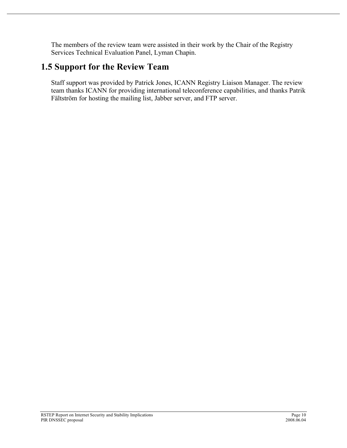The members of the review team were assisted in their work by the Chair of the Registry Services Technical Evaluation Panel, Lyman Chapin.

# **1.5 Support for the Review Team**

Staff support was provided by Patrick Jones, ICANN Registry Liaison Manager. The review team thanks ICANN for providing international teleconference capabilities, and thanks Patrik Fältström for hosting the mailing list, Jabber server, and FTP server.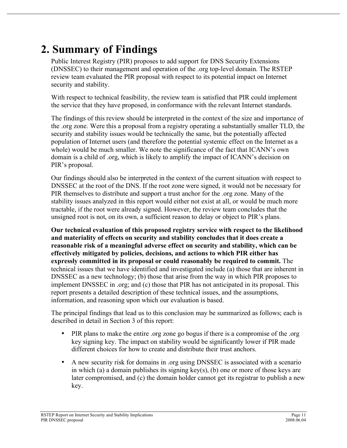# **2. Summary of Findings**

Public Interest Registry (PIR) proposes to add support for DNS Security Extensions (DNSSEC) to their management and operation of the .org top-level domain. The RSTEP review team evaluated the PIR proposal with respect to its potential impact on Internet security and stability.

With respect to technical feasibility, the review team is satisfied that PIR could implement the service that they have proposed, in conformance with the relevant Internet standards.

The findings of this review should be interpreted in the context of the size and importance of the .org zone. Were this a proposal from a registry operating a substantially smaller TLD, the security and stability issues would be technically the same, but the potentially affected population of Internet users (and therefore the potential systemic effect on the Internet as a whole) would be much smaller. We note the significance of the fact that ICANN's own domain is a child of .org, which is likely to amplify the impact of ICANN's decision on PIR's proposal.

Our findings should also be interpreted in the context of the current situation with respect to DNSSEC at the root of the DNS. If the root zone were signed, it would not be necessary for PIR themselves to distribute and support a trust anchor for the .org zone. Many of the stability issues analyzed in this report would either not exist at all, or would be much more tractable, if the root were already signed. However, the review team concludes that the unsigned root is not, on its own, a sufficient reason to delay or object to PIR's plans.

**Our technical evaluation of this proposed registry service with respect to the likelihood and materiality of effects on security and stability concludes that it does create a reasonable risk of a meaningful adverse effect on security and stability, which can be effectively mitigated by policies, decisions, and actions to which PIR either has expressly committed in its proposal or could reasonably be required to commit.** The technical issues that we have identified and investigated include (a) those that are inherent in DNSSEC as a new technology; (b) those that arise from the way in which PIR proposes to implement DNSSEC in .org; and (c) those that PIR has not anticipated in its proposal. This report presents a detailed description of these technical issues, and the assumptions, information, and reasoning upon which our evaluation is based.

The principal findings that lead us to this conclusion may be summarized as follows; each is described in detail in Section 3 of this report:

- PIR plans to make the entire .org zone go bogus if there is a compromise of the .org key signing key. The impact on stability would be significantly lower if PIR made different choices for how to create and distribute their trust anchors.
- A new security risk for domains in .org using DNSSEC is associated with a scenario in which (a) a domain publishes its signing key(s), (b) one or more of those keys are later compromised, and (c) the domain holder cannot get its registrar to publish a new key.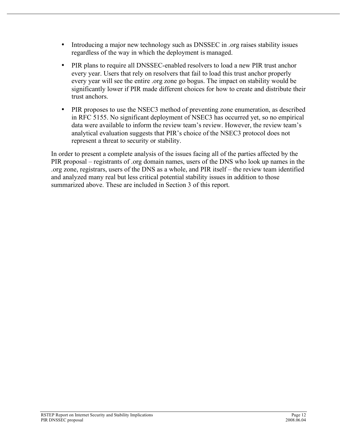- Introducing a major new technology such as DNSSEC in .org raises stability issues regardless of the way in which the deployment is managed.
- PIR plans to require all DNSSEC-enabled resolvers to load a new PIR trust anchor every year. Users that rely on resolvers that fail to load this trust anchor properly every year will see the entire .org zone go bogus. The impact on stability would be significantly lower if PIR made different choices for how to create and distribute their trust anchors.
- PIR proposes to use the NSEC3 method of preventing zone enumeration, as described in RFC 5155. No significant deployment of NSEC3 has occurred yet, so no empirical data were available to inform the review team's review. However, the review team's analytical evaluation suggests that PIR's choice of the NSEC3 protocol does not represent a threat to security or stability.

In order to present a complete analysis of the issues facing all of the parties affected by the PIR proposal – registrants of .org domain names, users of the DNS who look up names in the .org zone, registrars, users of the DNS as a whole, and PIR itself – the review team identified and analyzed many real but less critical potential stability issues in addition to those summarized above. These are included in Section 3 of this report.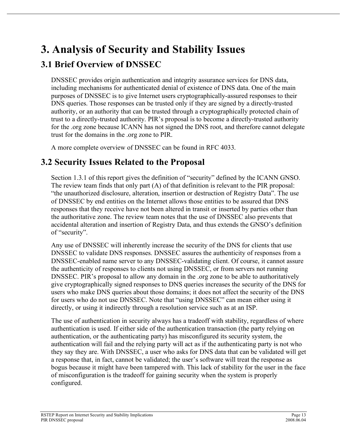# **3. Analysis of Security and Stability Issues**

## **3.1 Brief Overview of DNSSEC**

DNSSEC provides origin authentication and integrity assurance services for DNS data, including mechanisms for authenticated denial of existence of DNS data. One of the main purposes of DNSSEC is to give Internet users cryptographically-assured responses to their DNS queries. Those responses can be trusted only if they are signed by a directly-trusted authority, or an authority that can be trusted through a cryptographically protected chain of trust to a directly-trusted authority. PIR's proposal is to become a directly-trusted authority for the .org zone because ICANN has not signed the DNS root, and therefore cannot delegate trust for the domains in the .org zone to PIR.

A more complete overview of DNSSEC can be found in RFC 4033.

## **3.2 Security Issues Related to the Proposal**

Section 1.3.1 of this report gives the definition of "security" defined by the ICANN GNSO. The review team finds that only part (A) of that definition is relevant to the PIR proposal: "the unauthorized disclosure, alteration, insertion or destruction of Registry Data". The use of DNSSEC by end entities on the Internet allows those entities to be assured that DNS responses that they receive have not been altered in transit or inserted by parties other than the authoritative zone. The review team notes that the use of DNSSEC also prevents that accidental alteration and insertion of Registry Data, and thus extends the GNSO's definition of "security".

Any use of DNSSEC will inherently increase the security of the DNS for clients that use DNSSEC to validate DNS responses. DNSSEC assures the authenticity of responses from a DNSSEC-enabled name server to any DNSSEC-validating client. Of course, it cannot assure the authenticity of responses to clients not using DNSSEC, or from servers not running DNSSEC. PIR's proposal to allow any domain in the .org zone to be able to authoritatively give cryptographically signed responses to DNS queries increases the security of the DNS for users who make DNS queries about those domains; it does not affect the security of the DNS for users who do not use DNSSEC. Note that "using DNSSEC" can mean either using it directly, or using it indirectly through a resolution service such as at an ISP.

The use of authentication in security always has a tradeoff with stability, regardless of where authentication is used. If either side of the authentication transaction (the party relying on authentication, or the authenticating party) has misconfigured its security system, the authentication will fail and the relying party will act as if the authenticating party is not who they say they are. With DNSSEC, a user who asks for DNS data that can be validated will get a response that, in fact, cannot be validated; the user's software will treat the response as bogus because it might have been tampered with. This lack of stability for the user in the face of misconfiguration is the tradeoff for gaining security when the system is properly configured.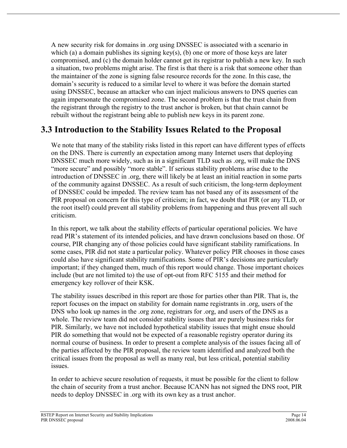A new security risk for domains in .org using DNSSEC is associated with a scenario in which (a) a domain publishes its signing key(s), (b) one or more of those keys are later compromised, and (c) the domain holder cannot get its registrar to publish a new key. In such a situation, two problems might arise. The first is that there is a risk that someone other than the maintainer of the zone is signing false resource records for the zone. In this case, the domain's security is reduced to a similar level to where it was before the domain started using DNSSEC, because an attacker who can inject malicious answers to DNS queries can again impersonate the compromised zone. The second problem is that the trust chain from the registrant through the registry to the trust anchor is broken, but that chain cannot be rebuilt without the registrant being able to publish new keys in its parent zone.

## **3.3 Introduction to the Stability Issues Related to the Proposal**

We note that many of the stability risks listed in this report can have different types of effects on the DNS. There is currently an expectation among many Internet users that deploying DNSSEC much more widely, such as in a significant TLD such as .org, will make the DNS "more secure" and possibly "more stable". If serious stability problems arise due to the introduction of DNSSEC in .org, there will likely be at least an initial reaction in some parts of the community against DNSSEC. As a result of such criticism, the long-term deployment of DNSSEC could be impeded. The review team has not based any of its assessment of the PIR proposal on concern for this type of criticism; in fact, we doubt that PIR (or any TLD, or the root itself) could prevent all stability problems from happening and thus prevent all such criticism.

In this report, we talk about the stability effects of particular operational policies. We have read PIR's statement of its intended policies, and have drawn conclusions based on those. Of course, PIR changing any of those policies could have significant stability ramifications. In some cases, PIR did not state a particular policy. Whatever policy PIR chooses in those cases could also have significant stability ramifications. Some of PIR's decisions are particularly important; if they changed them, much of this report would change. Those important choices include (but are not limited to) the use of opt-out from RFC 5155 and their method for emergency key rollover of their KSK.

The stability issues described in this report are those for parties other than PIR. That is, the report focuses on the impact on stability for domain name registrants in .org, users of the DNS who look up names in the .org zone, registrars for .org, and users of the DNS as a whole. The review team did not consider stability issues that are purely business risks for PIR. Similarly, we have not included hypothetical stability issues that might ensue should PIR do something that would not be expected of a reasonable registry operator during its normal course of business. In order to present a complete analysis of the issues facing all of the parties affected by the PIR proposal, the review team identified and analyzed both the critical issues from the proposal as well as many real, but less critical, potential stability issues.

In order to achieve secure resolution of requests, it must be possible for the client to follow the chain of security from a trust anchor. Because ICANN has not signed the DNS root, PIR needs to deploy DNSSEC in .org with its own key as a trust anchor.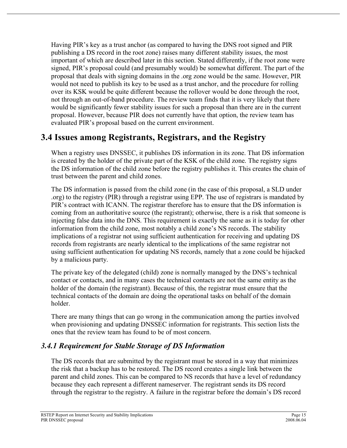Having PIR's key as a trust anchor (as compared to having the DNS root signed and PIR publishing a DS record in the root zone) raises many different stability issues, the most important of which are described later in this section. Stated differently, if the root zone were signed, PIR's proposal could (and presumably would) be somewhat different. The part of the proposal that deals with signing domains in the .org zone would be the same. However, PIR would not need to publish its key to be used as a trust anchor, and the procedure for rolling over its KSK would be quite different because the rollover would be done through the root, not through an out-of-band procedure. The review team finds that it is very likely that there would be significantly fewer stability issues for such a proposal than there are in the current proposal. However, because PIR does not currently have that option, the review team has evaluated PIR's proposal based on the current environment.

## **3.4 Issues among Registrants, Registrars, and the Registry**

When a registry uses DNSSEC, it publishes DS information in its zone. That DS information is created by the holder of the private part of the KSK of the child zone. The registry signs the DS information of the child zone before the registry publishes it. This creates the chain of trust between the parent and child zones.

The DS information is passed from the child zone (in the case of this proposal, a SLD under .org) to the registry (PIR) through a registrar using EPP. The use of registrars is mandated by PIR's contract with ICANN. The registrar therefore has to ensure that the DS information is coming from an authoritative source (the registrant); otherwise, there is a risk that someone is injecting false data into the DNS. This requirement is exactly the same as it is today for other information from the child zone, most notably a child zone's NS records. The stability implications of a registrar not using sufficient authentication for receiving and updating DS records from registrants are nearly identical to the implications of the same registrar not using sufficient authentication for updating NS records, namely that a zone could be hijacked by a malicious party.

The private key of the delegated (child) zone is normally managed by the DNS's technical contact or contacts, and in many cases the technical contacts are not the same entity as the holder of the domain (the registrant). Because of this, the registrar must ensure that the technical contacts of the domain are doing the operational tasks on behalf of the domain holder.

There are many things that can go wrong in the communication among the parties involved when provisioning and updating DNSSEC information for registrants. This section lists the ones that the review team has found to be of most concern.

#### *3.4.1 Requirement for Stable Storage of DS Information*

The DS records that are submitted by the registrant must be stored in a way that minimizes the risk that a backup has to be restored. The DS record creates a single link between the parent and child zones. This can be compared to NS records that have a level of redundancy because they each represent a different nameserver. The registrant sends its DS record through the registrar to the registry. A failure in the registrar before the domain's DS record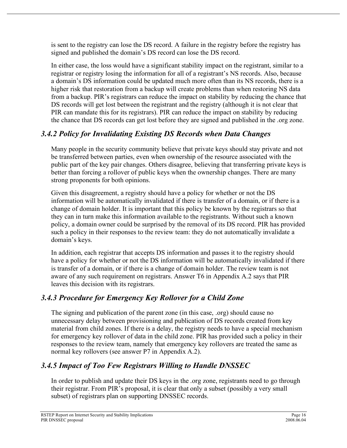is sent to the registry can lose the DS record. A failure in the registry before the registry has signed and published the domain's DS record can lose the DS record.

In either case, the loss would have a significant stability impact on the registrant, similar to a registrar or registry losing the information for all of a registrant's NS records. Also, because a domain's DS information could be updated much more often than its NS records, there is a higher risk that restoration from a backup will create problems than when restoring NS data from a backup. PIR's registrars can reduce the impact on stability by reducing the chance that DS records will get lost between the registrant and the registry (although it is not clear that PIR can mandate this for its registrars). PIR can reduce the impact on stability by reducing the chance that DS records can get lost before they are signed and published in the .org zone.

## *3.4.2 Policy for Invalidating Existing DS Records when Data Changes*

Many people in the security community believe that private keys should stay private and not be transferred between parties, even when ownership of the resource associated with the public part of the key pair changes. Others disagree, believing that transferring private keys is better than forcing a rollover of public keys when the ownership changes. There are many strong proponents for both opinions.

Given this disagreement, a registry should have a policy for whether or not the DS information will be automatically invalidated if there is transfer of a domain, or if there is a change of domain holder. It is important that this policy be known by the registrars so that they can in turn make this information available to the registrants. Without such a known policy, a domain owner could be surprised by the removal of its DS record. PIR has provided such a policy in their responses to the review team: they do not automatically invalidate a domain's keys.

In addition, each registrar that accepts DS information and passes it to the registry should have a policy for whether or not the DS information will be automatically invalidated if there is transfer of a domain, or if there is a change of domain holder. The review team is not aware of any such requirement on registrars. Answer T6 in Appendix A.2 says that PIR leaves this decision with its registrars.

## *3.4.3 Procedure for Emergency Key Rollover for a Child Zone*

The signing and publication of the parent zone (in this case, .org) should cause no unnecessary delay between provisioning and publication of DS records created from key material from child zones. If there is a delay, the registry needs to have a special mechanism for emergency key rollover of data in the child zone. PIR has provided such a policy in their responses to the review team, namely that emergency key rollovers are treated the same as normal key rollovers (see answer P7 in Appendix A.2).

## *3.4.5 Impact of Too Few Registrars Willing to Handle DNSSEC*

In order to publish and update their DS keys in the .org zone, registrants need to go through their registrar. From PIR's proposal, it is clear that only a subset (possibly a very small subset) of registrars plan on supporting DNSSEC records.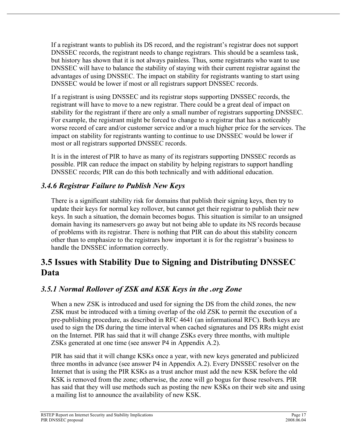If a registrant wants to publish its DS record, and the registrant's registrar does not support DNSSEC records, the registrant needs to change registrars. This should be a seamless task, but history has shown that it is not always painless. Thus, some registrants who want to use DNSSEC will have to balance the stability of staying with their current registrar against the advantages of using DNSSEC. The impact on stability for registrants wanting to start using DNSSEC would be lower if most or all registrars support DNSSEC records.

If a registrant is using DNSSEC and its registrar stops supporting DNSSEC records, the registrant will have to move to a new registrar. There could be a great deal of impact on stability for the registrant if there are only a small number of registrars supporting DNSSEC. For example, the registrant might be forced to change to a registrar that has a noticeably worse record of care and/or customer service and/or a much higher price for the services. The impact on stability for registrants wanting to continue to use DNSSEC would be lower if most or all registrars supported DNSSEC records.

It is in the interest of PIR to have as many of its registrars supporting DNSSEC records as possible. PIR can reduce the impact on stability by helping registrars to support handling DNSSEC records; PIR can do this both technically and with additional education.

### *3.4.6 Registrar Failure to Publish New Keys*

There is a significant stability risk for domains that publish their signing keys, then try to update their keys for normal key rollover, but cannot get their registrar to publish their new keys. In such a situation, the domain becomes bogus. This situation is similar to an unsigned domain having its nameservers go away but not being able to update its NS records because of problems with its registrar. There is nothing that PIR can do about this stability concern other than to emphasize to the registrars how important it is for the registrar's business to handle the DNSSEC information correctly.

# **3.5 Issues with Stability Due to Signing and Distributing DNSSEC Data**

## *3.5.1 Normal Rollover of ZSK and KSK Keys in the .org Zone*

When a new ZSK is introduced and used for signing the DS from the child zones, the new ZSK must be introduced with a timing overlap of the old ZSK to permit the execution of a pre-publishing procedure, as described in RFC 4641 (an informational RFC). Both keys are used to sign the DS during the time interval when cached signatures and DS RRs might exist on the Internet. PIR has said that it will change ZSKs every three months, with multiple ZSKs generated at one time (see answer P4 in Appendix A.2).

PIR has said that it will change KSKs once a year, with new keys generated and publicized three months in advance (see answer P4 in Appendix A.2). Every DNSSEC resolver on the Internet that is using the PIR KSKs as a trust anchor must add the new KSK before the old KSK is removed from the zone; otherwise, the zone will go bogus for those resolvers. PIR has said that they will use methods such as posting the new KSKs on their web site and using a mailing list to announce the availability of new KSK.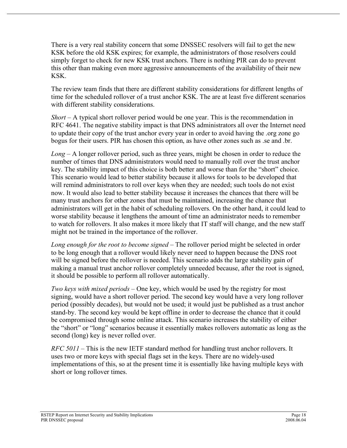There is a very real stability concern that some DNSSEC resolvers will fail to get the new KSK before the old KSK expires; for example, the administrators of those resolvers could simply forget to check for new KSK trust anchors. There is nothing PIR can do to prevent this other than making even more aggressive announcements of the availability of their new KSK.

The review team finds that there are different stability considerations for different lengths of time for the scheduled rollover of a trust anchor KSK. The are at least five different scenarios with different stability considerations.

*Short* – A typical short rollover period would be one year. This is the recommendation in RFC 4641. The negative stability impact is that DNS administrators all over the Internet need to update their copy of the trust anchor every year in order to avoid having the .org zone go bogus for their users. PIR has chosen this option, as have other zones such as .se and .br.

*Long* – A longer rollover period, such as three years, might be chosen in order to reduce the number of times that DNS administrators would need to manually roll over the trust anchor key. The stability impact of this choice is both better and worse than for the "short" choice. This scenario would lead to better stability because it allows for tools to be developed that will remind administrators to roll over keys when they are needed; such tools do not exist now. It would also lead to better stability because it increases the chances that there will be many trust anchors for other zones that must be maintained, increasing the chance that administrators will get in the habit of scheduling rollovers. On the other hand, it could lead to worse stability because it lengthens the amount of time an administrator needs to remember to watch for rollovers. It also makes it more likely that IT staff will change, and the new staff might not be trained in the importance of the rollover.

*Long enough for the root to become signed* – The rollover period might be selected in order to be long enough that a rollover would likely never need to happen because the DNS root will be signed before the rollover is needed. This scenario adds the large stability gain of making a manual trust anchor rollover completely unneeded because, after the root is signed, it should be possible to perform all rollover automatically.

*Two keys with mixed periods* – One key, which would be used by the registry for most signing, would have a short rollover period. The second key would have a very long rollover period (possibly decades), but would not be used; it would just be published as a trust anchor stand-by. The second key would be kept offline in order to decrease the chance that it could be compromised through some online attack. This scenario increases the stability of either the "short" or "long" scenarios because it essentially makes rollovers automatic as long as the second (long) key is never rolled over.

*RFC 5011* – This is the new IETF standard method for handling trust anchor rollovers. It uses two or more keys with special flags set in the keys. There are no widely-used implementations of this, so at the present time it is essentially like having multiple keys with short or long rollover times.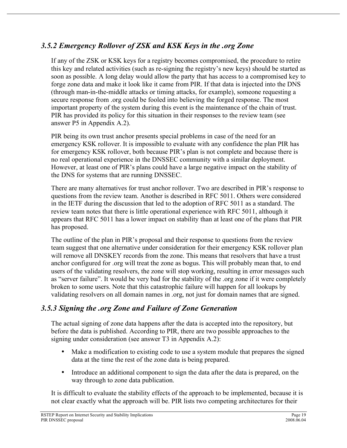## *3.5.2 Emergency Rollover of ZSK and KSK Keys in the .org Zone*

If any of the ZSK or KSK keys for a registry becomes compromised, the procedure to retire this key and related activities (such as re-signing the registry's new keys) should be started as soon as possible. A long delay would allow the party that has access to a compromised key to forge zone data and make it look like it came from PIR. If that data is injected into the DNS (through man-in-the-middle attacks or timing attacks, for example), someone requesting a secure response from .org could be fooled into believing the forged response. The most important property of the system during this event is the maintenance of the chain of trust. PIR has provided its policy for this situation in their responses to the review team (see answer P5 in Appendix A.2).

PIR being its own trust anchor presents special problems in case of the need for an emergency KSK rollover. It is impossible to evaluate with any confidence the plan PIR has for emergency KSK rollover, both because PIR's plan is not complete and because there is no real operational experience in the DNSSEC community with a similar deployment. However, at least one of PIR's plans could have a large negative impact on the stability of the DNS for systems that are running DNSSEC.

There are many alternatives for trust anchor rollover. Two are described in PIR's response to questions from the review team. Another is described in RFC 5011. Others were considered in the IETF during the discussion that led to the adoption of RFC 5011 as a standard. The review team notes that there is little operational experience with RFC 5011, although it appears that RFC 5011 has a lower impact on stability than at least one of the plans that PIR has proposed.

The outline of the plan in PIR's proposal and their response to questions from the review team suggest that one alternative under consideration for their emergency KSK rollover plan will remove all DNSKEY records from the zone. This means that resolvers that have a trust anchor configured for .org will treat the zone as bogus. This will probably mean that, to end users of the validating resolvers, the zone will stop working, resulting in error messages such as "server failure". It would be very bad for the stability of the .org zone if it were completely broken to some users. Note that this catastrophic failure will happen for all lookups by validating resolvers on all domain names in .org, not just for domain names that are signed.

#### *3.5.3 Signing the .org Zone and Failure of Zone Generation*

The actual signing of zone data happens after the data is accepted into the repository, but before the data is published. According to PIR, there are two possible approaches to the signing under consideration (see answer T3 in Appendix A.2):

- Make a modification to existing code to use a system module that prepares the signed data at the time the rest of the zone data is being prepared.
- Introduce an additional component to sign the data after the data is prepared, on the way through to zone data publication.

It is difficult to evaluate the stability effects of the approach to be implemented, because it is not clear exactly what the approach will be. PIR lists two competing architectures for their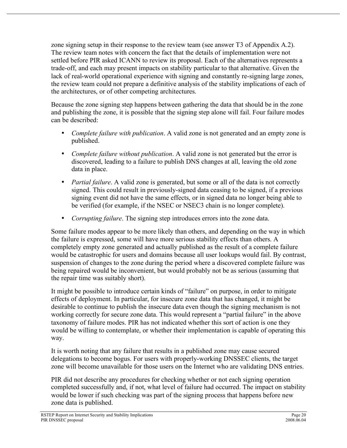zone signing setup in their response to the review team (see answer T3 of Appendix A.2). The review team notes with concern the fact that the details of implementation were not settled before PIR asked ICANN to review its proposal. Each of the alternatives represents a trade-off, and each may present impacts on stability particular to that alternative. Given the lack of real-world operational experience with signing and constantly re-signing large zones, the review team could not prepare a definitive analysis of the stability implications of each of the architectures, or of other competing architectures.

Because the zone signing step happens between gathering the data that should be in the zone and publishing the zone, it is possible that the signing step alone will fail. Four failure modes can be described:

- *Complete failure with publication*. A valid zone is not generated and an empty zone is published.
- *Complete failure without publication*. A valid zone is not generated but the error is discovered, leading to a failure to publish DNS changes at all, leaving the old zone data in place.
- *Partial failure*. A valid zone is generated, but some or all of the data is not correctly signed. This could result in previously-signed data ceasing to be signed, if a previous signing event did not have the same effects, or in signed data no longer being able to be verified (for example, if the NSEC or NSEC3 chain is no longer complete).
- *Corrupting failure*. The signing step introduces errors into the zone data.

Some failure modes appear to be more likely than others, and depending on the way in which the failure is expressed, some will have more serious stability effects than others. A completely empty zone generated and actually published as the result of a complete failure would be catastrophic for users and domains because all user lookups would fail. By contrast, suspension of changes to the zone during the period where a discovered complete failure was being repaired would be inconvenient, but would probably not be as serious (assuming that the repair time was suitably short).

It might be possible to introduce certain kinds of "failure" on purpose, in order to mitigate effects of deployment. In particular, for insecure zone data that has changed, it might be desirable to continue to publish the insecure data even though the signing mechanism is not working correctly for secure zone data. This would represent a "partial failure" in the above taxonomy of failure modes. PIR has not indicated whether this sort of action is one they would be willing to contemplate, or whether their implementation is capable of operating this way.

It is worth noting that any failure that results in a published zone may cause secured delegations to become bogus. For users with properly-working DNSSEC clients, the target zone will become unavailable for those users on the Internet who are validating DNS entries.

PIR did not describe any procedures for checking whether or not each signing operation completed successfully and, if not, what level of failure had occurred. The impact on stability would be lower if such checking was part of the signing process that happens before new zone data is published.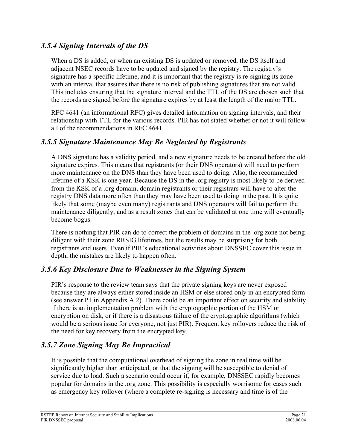### *3.5.4 Signing Intervals of the DS*

When a DS is added, or when an existing DS is updated or removed, the DS itself and adjacent NSEC records have to be updated and signed by the registry. The registry's signature has a specific lifetime, and it is important that the registry is re-signing its zone with an interval that assures that there is no risk of publishing signatures that are not valid. This includes ensuring that the signature interval and the TTL of the DS are chosen such that the records are signed before the signature expires by at least the length of the major TTL.

RFC 4641 (an informational RFC) gives detailed information on signing intervals, and their relationship with TTL for the various records. PIR has not stated whether or not it will follow all of the recommendations in RFC 4641.

### *3.5.5 Signature Maintenance May Be Neglected by Registrants*

A DNS signature has a validity period, and a new signature needs to be created before the old signature expires. This means that registrants (or their DNS operators) will need to perform more maintenance on the DNS than they have been used to doing. Also, the recommended lifetime of a KSK is one year. Because the DS in the .org registry is most likely to be derived from the KSK of a .org domain, domain registrants or their registrars will have to alter the registry DNS data more often than they may have been used to doing in the past. It is quite likely that some (maybe even many) registrants and DNS operators will fail to perform the maintenance diligently, and as a result zones that can be validated at one time will eventually become bogus.

There is nothing that PIR can do to correct the problem of domains in the .org zone not being diligent with their zone RRSIG lifetimes, but the results may be surprising for both registrants and users. Even if PIR's educational activities about DNSSEC cover this issue in depth, the mistakes are likely to happen often.

#### *3.5.6 Key Disclosure Due to Weaknesses in the Signing System*

PIR's response to the review team says that the private signing keys are never exposed because they are always either stored inside an HSM or else stored only in an encrypted form (see answer P1 in Appendix A.2). There could be an important effect on security and stability if there is an implementation problem with the cryptographic portion of the HSM or encryption on disk, or if there is a disastrous failure of the cryptographic algorithms (which would be a serious issue for everyone, not just PIR). Frequent key rollovers reduce the risk of the need for key recovery from the encrypted key.

#### *3.5.7 Zone Signing May Be Impractical*

It is possible that the computational overhead of signing the zone in real time will be significantly higher than anticipated, or that the signing will be susceptible to denial of service due to load. Such a scenario could occur if, for example, DNSSEC rapidly becomes popular for domains in the .org zone. This possibility is especially worrisome for cases such as emergency key rollover (where a complete re-signing is necessary and time is of the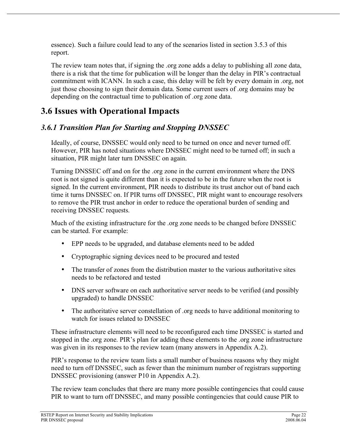essence). Such a failure could lead to any of the scenarios listed in section 3.5.3 of this report.

The review team notes that, if signing the .org zone adds a delay to publishing all zone data, there is a risk that the time for publication will be longer than the delay in PIR's contractual commitment with ICANN. In such a case, this delay will be felt by every domain in .org, not just those choosing to sign their domain data. Some current users of .org domains may be depending on the contractual time to publication of .org zone data.

# **3.6 Issues with Operational Impacts**

## *3.6.1 Transition Plan for Starting and Stopping DNSSEC*

Ideally, of course, DNSSEC would only need to be turned on once and never turned off. However, PIR has noted situations where DNSSEC might need to be turned off; in such a situation, PIR might later turn DNSSEC on again.

Turning DNSSEC off and on for the .org zone in the current environment where the DNS root is not signed is quite different than it is expected to be in the future when the root is signed. In the current environment, PIR needs to distribute its trust anchor out of band each time it turns DNSSEC on. If PIR turns off DNSSEC, PIR might want to encourage resolvers to remove the PIR trust anchor in order to reduce the operational burden of sending and receiving DNSSEC requests.

Much of the existing infrastructure for the .org zone needs to be changed before DNSSEC can be started. For example:

- EPP needs to be upgraded, and database elements need to be added
- Cryptographic signing devices need to be procured and tested
- The transfer of zones from the distribution master to the various authoritative sites needs to be refactored and tested
- DNS server software on each authoritative server needs to be verified (and possibly upgraded) to handle DNSSEC
- The authoritative server constellation of .org needs to have additional monitoring to watch for issues related to DNSSEC

These infrastructure elements will need to be reconfigured each time DNSSEC is started and stopped in the .org zone. PIR's plan for adding these elements to the .org zone infrastructure was given in its responses to the review team (many answers in Appendix A.2).

PIR's response to the review team lists a small number of business reasons why they might need to turn off DNSSEC, such as fewer than the minimum number of registrars supporting DNSSEC provisioning (answer P10 in Appendix A.2).

The review team concludes that there are many more possible contingencies that could cause PIR to want to turn off DNSSEC, and many possible contingencies that could cause PIR to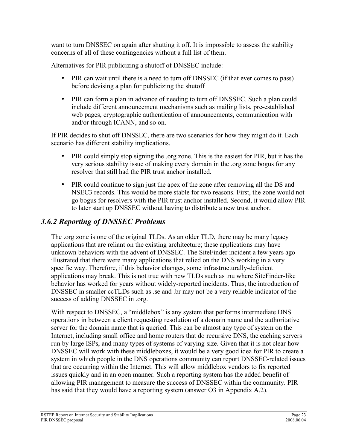want to turn DNSSEC on again after shutting it off. It is impossible to assess the stability concerns of all of these contingencies without a full list of them.

Alternatives for PIR publicizing a shutoff of DNSSEC include:

- PIR can wait until there is a need to turn off DNSSEC (if that ever comes to pass) before devising a plan for publicizing the shutoff
- PIR can form a plan in advance of needing to turn off DNSSEC. Such a plan could include different announcement mechanisms such as mailing lists, pre-established web pages, cryptographic authentication of announcements, communication with and/or through ICANN, and so on.

If PIR decides to shut off DNSSEC, there are two scenarios for how they might do it. Each scenario has different stability implications.

- PIR could simply stop signing the .org zone. This is the easiest for PIR, but it has the very serious stability issue of making every domain in the .org zone bogus for any resolver that still had the PIR trust anchor installed.
- PIR could continue to sign just the apex of the zone after removing all the DS and NSEC3 records. This would be more stable for two reasons. First, the zone would not go bogus for resolvers with the PIR trust anchor installed. Second, it would allow PIR to later start up DNSSEC without having to distribute a new trust anchor.

## *3.6.2 Reporting of DNSSEC Problems*

The .org zone is one of the original TLDs. As an older TLD, there may be many legacy applications that are reliant on the existing architecture; these applications may have unknown behaviors with the advent of DNSSEC. The SiteFinder incident a few years ago illustrated that there were many applications that relied on the DNS working in a very specific way. Therefore, if this behavior changes, some infrastructurally-deficient applications may break. This is not true with new TLDs such as .nu where SiteFinder-like behavior has worked for years without widely-reported incidents. Thus, the introduction of DNSSEC in smaller ccTLDs such as .se and .br may not be a very reliable indicator of the success of adding DNSSEC in .org.

With respect to DNSSEC, a "middlebox" is any system that performs intermediate DNS operations in between a client requesting resolution of a domain name and the authoritative server for the domain name that is queried. This can be almost any type of system on the Internet, including small office and home routers that do recursive DNS, the caching servers run by large ISPs, and many types of systems of varying size. Given that it is not clear how DNSSEC will work with these middleboxes, it would be a very good idea for PIR to create a system in which people in the DNS operations community can report DNSSEC-related issues that are occurring within the Internet. This will allow middlebox vendors to fix reported issues quickly and in an open manner. Such a reporting system has the added benefit of allowing PIR management to measure the success of DNSSEC within the community. PIR has said that they would have a reporting system (answer O3 in Appendix A.2).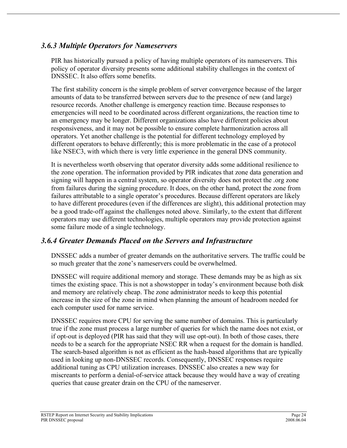#### *3.6.3 Multiple Operators for Nameservers*

PIR has historically pursued a policy of having multiple operators of its nameservers. This policy of operator diversity presents some additional stability challenges in the context of DNSSEC. It also offers some benefits.

The first stability concern is the simple problem of server convergence because of the larger amounts of data to be transferred between servers due to the presence of new (and large) resource records. Another challenge is emergency reaction time. Because responses to emergencies will need to be coordinated across different organizations, the reaction time to an emergency may be longer. Different organizations also have different policies about responsiveness, and it may not be possible to ensure complete harmonization across all operators. Yet another challenge is the potential for different technology employed by different operators to behave differently; this is more problematic in the case of a protocol like NSEC3, with which there is very little experience in the general DNS community.

It is nevertheless worth observing that operator diversity adds some additional resilience to the zone operation. The information provided by PIR indicates that zone data generation and signing will happen in a central system, so operator diversity does not protect the .org zone from failures during the signing procedure. It does, on the other hand, protect the zone from failures attributable to a single operator's procedures. Because different operators are likely to have different procedures (even if the differences are slight), this additional protection may be a good trade-off against the challenges noted above. Similarly, to the extent that different operators may use different technologies, multiple operators may provide protection against some failure mode of a single technology.

#### *3.6.4 Greater Demands Placed on the Servers and Infrastructure*

DNSSEC adds a number of greater demands on the authoritative servers. The traffic could be so much greater that the zone's nameservers could be overwhelmed.

DNSSEC will require additional memory and storage. These demands may be as high as six times the existing space. This is not a showstopper in today's environment because both disk and memory are relatively cheap. The zone administrator needs to keep this potential increase in the size of the zone in mind when planning the amount of headroom needed for each computer used for name service.

DNSSEC requires more CPU for serving the same number of domains. This is particularly true if the zone must process a large number of queries for which the name does not exist, or if opt-out is deployed (PIR has said that they will use opt-out). In both of those cases, there needs to be a search for the appropriate NSEC RR when a request for the domain is handled. The search-based algorithm is not as efficient as the hash-based algorithms that are typically used in looking up non-DNSSEC records. Consequently, DNSSEC responses require additional tuning as CPU utilization increases. DNSSEC also creates a new way for miscreants to perform a denial-of-service attack because they would have a way of creating queries that cause greater drain on the CPU of the nameserver.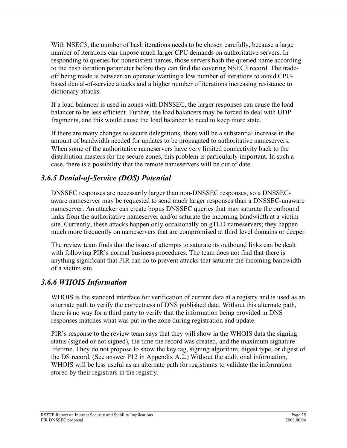With NSEC3, the number of hash iterations needs to be chosen carefully, because a large number of iterations can impose much larger CPU demands on authoritative servers. In responding to queries for nonexistent names, those servers hash the queried name according to the hash iteration parameter before they can find the covering NSEC3 record. The tradeoff being made is between an operator wanting a low number of iterations to avoid CPUbased denial-of-service attacks and a higher number of iterations increasing resistance to dictionary attacks.

If a load balancer is used in zones with DNSSEC, the larger responses can cause the load balancer to be less efficient. Further, the load balancers may be forced to deal with UDP fragments, and this would cause the load balancer to need to keep more state.

If there are many changes to secure delegations, there will be a substantial increase in the amount of bandwidth needed for updates to be propagated to authoritative nameservers. When some of the authoritative nameservers have very limited connectivity back to the distribution masters for the secure zones, this problem is particularly important. In such a case, there is a possibility that the remote nameservers will be out of date.

## *3.6.5 Denial-of-Service (DOS) Potential*

DNSSEC responses are necessarily larger than non-DNSSEC responses, so a DNSSECaware nameserver may be requested to send much larger responses than a DNSSEC-unaware nameserver. An attacker can create bogus DNSSEC queries that may saturate the outbound links from the authoritative nameserver and/or saturate the incoming bandwidth at a victim site. Currently, these attacks happen only occasionally on gTLD nameservers; they happen much more frequently on nameservers that are compromised at third level domains or deeper.

The review team finds that the issue of attempts to saturate its outbound links can be dealt with following PIR's normal business procedures. The team does not find that there is anything significant that PIR can do to prevent attacks that saturate the incoming bandwidth of a victim site.

## *3.6.6 WHOIS Information*

WHOIS is the standard interface for verification of current data at a registry and is used as an alternate path to verify the correctness of DNS published data. Without this alternate path, there is no way for a third party to verify that the information being provided in DNS responses matches what was put in the zone during registration and update.

PIR's response to the review team says that they will show in the WHOIS data the signing status (signed or not signed), the time the record was created, and the maximum signature lifetime. They do not propose to show the key tag, signing algorithm, digest type, or digest of the DS record. (See answer P12 in Appendix A.2.) Without the additional information, WHOIS will be less useful as an alternate path for registrants to validate the information stored by their registrars in the registry.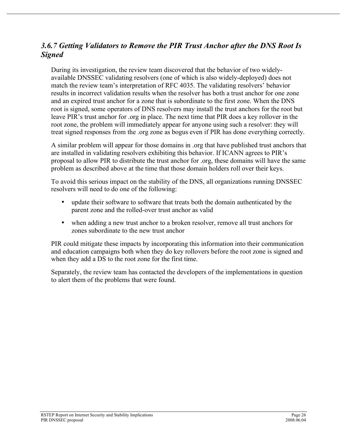#### *3.6.7 Getting Validators to Remove the PIR Trust Anchor after the DNS Root Is Signed*

During its investigation, the review team discovered that the behavior of two widelyavailable DNSSEC validating resolvers (one of which is also widely-deployed) does not match the review team's interpretation of RFC 4035. The validating resolvers' behavior results in incorrect validation results when the resolver has both a trust anchor for one zone and an expired trust anchor for a zone that is subordinate to the first zone. When the DNS root is signed, some operators of DNS resolvers may install the trust anchors for the root but leave PIR's trust anchor for .org in place. The next time that PIR does a key rollover in the root zone, the problem will immediately appear for anyone using such a resolver: they will treat signed responses from the .org zone as bogus even if PIR has done everything correctly.

A similar problem will appear for those domains in .org that have published trust anchors that are installed in validating resolvers exhibiting this behavior. If ICANN agrees to PIR's proposal to allow PIR to distribute the trust anchor for .org, these domains will have the same problem as described above at the time that those domain holders roll over their keys.

To avoid this serious impact on the stability of the DNS, all organizations running DNSSEC resolvers will need to do one of the following:

- update their software to software that treats both the domain authenticated by the parent zone and the rolled-over trust anchor as valid
- when adding a new trust anchor to a broken resolver, remove all trust anchors for zones subordinate to the new trust anchor

PIR could mitigate these impacts by incorporating this information into their communication and education campaigns both when they do key rollovers before the root zone is signed and when they add a DS to the root zone for the first time.

Separately, the review team has contacted the developers of the implementations in question to alert them of the problems that were found.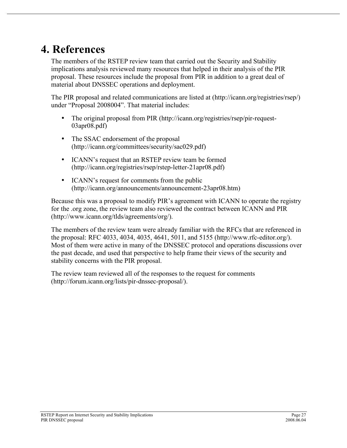# **4. References**

The members of the RSTEP review team that carried out the Security and Stability implications analysis reviewed many resources that helped in their analysis of the PIR proposal. These resources include the proposal from PIR in addition to a great deal of material about DNSSEC operations and deployment.

The PIR proposal and related communications are listed at (http://icann.org/registries/rsep/) under "Proposal 2008004". That material includes:

- The original proposal from PIR (http://icann.org/registries/rsep/pir-request-03apr08.pdf)
- The SSAC endorsement of the proposal (http://icann.org/committees/security/sac029.pdf)
- ICANN's request that an RSTEP review team be formed (http://icann.org/registries/rsep/rstep-letter-21apr08.pdf)
- ICANN's request for comments from the public (http://icann.org/announcements/announcement-23apr08.htm)

Because this was a proposal to modify PIR's agreement with ICANN to operate the registry for the .org zone, the review team also reviewed the contract between ICANN and PIR (http://www.icann.org/tlds/agreements/org/).

The members of the review team were already familiar with the RFCs that are referenced in the proposal: RFC 4033, 4034, 4035, 4641, 5011, and 5155 (http://www.rfc-editor.org/). Most of them were active in many of the DNSSEC protocol and operations discussions over the past decade, and used that perspective to help frame their views of the security and stability concerns with the PIR proposal.

The review team reviewed all of the responses to the request for comments (http://forum.icann.org/lists/pir-dnssec-proposal/).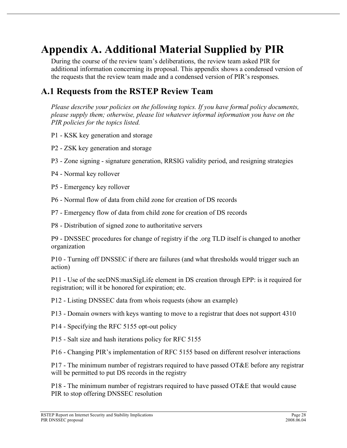# **Appendix A. Additional Material Supplied by PIR**

During the course of the review team's deliberations, the review team asked PIR for additional information concerning its proposal. This appendix shows a condensed version of the requests that the review team made and a condensed version of PIR's responses.

## **A.1 Requests from the RSTEP Review Team**

*Please describe your policies on the following topics. If you have formal policy documents, please supply them; otherwise, please list whatever informal information you have on the PIR policies for the topics listed.*

- P1 KSK key generation and storage
- P2 ZSK key generation and storage
- P3 Zone signing signature generation, RRSIG validity period, and resigning strategies
- P4 Normal key rollover
- P5 Emergency key rollover
- P6 Normal flow of data from child zone for creation of DS records
- P7 Emergency flow of data from child zone for creation of DS records
- P8 Distribution of signed zone to authoritative servers

P9 - DNSSEC procedures for change of registry if the .org TLD itself is changed to another organization

P10 - Turning off DNSSEC if there are failures (and what thresholds would trigger such an action)

P11 - Use of the secDNS:maxSigLife element in DS creation through EPP: is it required for registration; will it be honored for expiration; etc.

P12 - Listing DNSSEC data from whois requests (show an example)

P13 - Domain owners with keys wanting to move to a registrar that does not support 4310

- P14 Specifying the RFC 5155 opt-out policy
- P15 Salt size and hash iterations policy for RFC 5155

P16 - Changing PIR's implementation of RFC 5155 based on different resolver interactions

P17 - The minimum number of registrars required to have passed OT&E before any registrar will be permitted to put DS records in the registry

P18 - The minimum number of registrars required to have passed OT&E that would cause PIR to stop offering DNSSEC resolution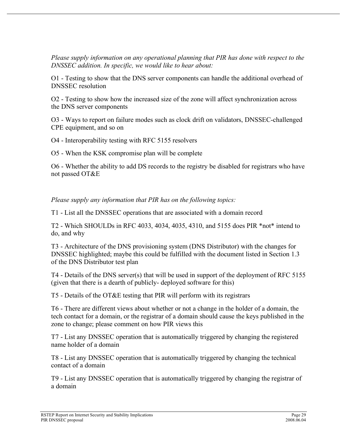*Please supply information on any operational planning that PIR has done with respect to the DNSSEC addition. In specific, we would like to hear about:*

O1 - Testing to show that the DNS server components can handle the additional overhead of DNSSEC resolution

O2 - Testing to show how the increased size of the zone will affect synchronization across the DNS server components

O3 - Ways to report on failure modes such as clock drift on validators, DNSSEC-challenged CPE equipment, and so on

O4 - Interoperability testing with RFC 5155 resolvers

O5 - When the KSK compromise plan will be complete

O6 - Whether the ability to add DS records to the registry be disabled for registrars who have not passed OT&E

*Please supply any information that PIR has on the following topics:*

T1 - List all the DNSSEC operations that are associated with a domain record

T2 - Which SHOULDs in RFC 4033, 4034, 4035, 4310, and 5155 does PIR \*not\* intend to do, and why

T3 - Architecture of the DNS provisioning system (DNS Distributor) with the changes for DNSSEC highlighted; maybe this could be fulfilled with the document listed in Section 1.3 of the DNS Distributor test plan

T4 - Details of the DNS server(s) that will be used in support of the deployment of RFC 5155 (given that there is a dearth of publicly- deployed software for this)

T5 - Details of the OT&E testing that PIR will perform with its registrars

T6 - There are different views about whether or not a change in the holder of a domain, the tech contact for a domain, or the registrar of a domain should cause the keys published in the zone to change; please comment on how PIR views this

T7 - List any DNSSEC operation that is automatically triggered by changing the registered name holder of a domain

T8 - List any DNSSEC operation that is automatically triggered by changing the technical contact of a domain

T9 - List any DNSSEC operation that is automatically triggered by changing the registrar of a domain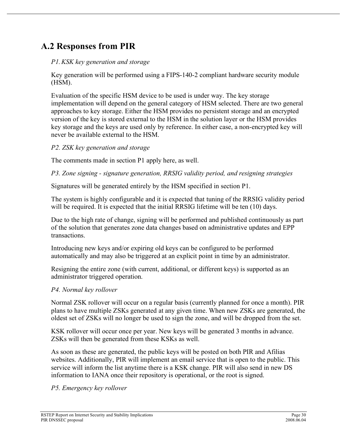## **A.2 Responses from PIR**

#### *P1.KSK key generation and storage*

Key generation will be performed using a FIPS-140-2 compliant hardware security module (HSM).

Evaluation of the specific HSM device to be used is under way. The key storage implementation will depend on the general category of HSM selected. There are two general approaches to key storage. Either the HSM provides no persistent storage and an encrypted version of the key is stored external to the HSM in the solution layer or the HSM provides key storage and the keys are used only by reference. In either case, a non-encrypted key will never be available external to the HSM.

#### *P2. ZSK key generation and storage*

The comments made in section P1 apply here, as well.

*P3. Zone signing - signature generation, RRSIG validity period, and resigning strategies*

Signatures will be generated entirely by the HSM specified in section P1.

The system is highly configurable and it is expected that tuning of the RRSIG validity period will be required. It is expected that the initial RRSIG lifetime will be ten (10) days.

Due to the high rate of change, signing will be performed and published continuously as part of the solution that generates zone data changes based on administrative updates and EPP transactions.

Introducing new keys and/or expiring old keys can be configured to be performed automatically and may also be triggered at an explicit point in time by an administrator.

Resigning the entire zone (with current, additional, or different keys) is supported as an administrator triggered operation.

#### *P4. Normal key rollover*

Normal ZSK rollover will occur on a regular basis (currently planned for once a month). PIR plans to have multiple ZSKs generated at any given time. When new ZSKs are generated, the oldest set of ZSKs will no longer be used to sign the zone, and will be dropped from the set.

KSK rollover will occur once per year. New keys will be generated 3 months in advance. ZSKs will then be generated from these KSKs as well.

As soon as these are generated, the public keys will be posted on both PIR and Afilias websites. Additionally, PIR will implement an email service that is open to the public. This service will inform the list anytime there is a KSK change. PIR will also send in new DS information to IANA once their repository is operational, or the root is signed.

*P5. Emergency key rollover*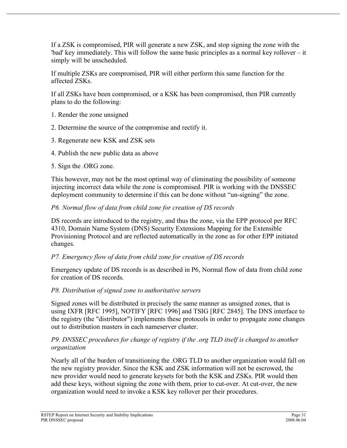If a ZSK is compromised, PIR will generate a new ZSK, and stop signing the zone with the 'bad' key immediately. This will follow the same basic principles as a normal key rollover – it simply will be unscheduled.

If multiple ZSKs are compromised, PIR will either perform this same function for the affected ZSKs.

If all ZSKs have been compromised, or a KSK has been compromised, then PIR currently plans to do the following:

- 1. Render the zone unsigned
- 2. Determine the source of the compromise and rectify it.
- 3. Regenerate new KSK and ZSK sets
- 4. Publish the new public data as above
- 5. Sign the .ORG zone.

This however, may not be the most optimal way of eliminating the possibility of someone injecting incorrect data while the zone is compromised. PIR is working with the DNSSEC deployment community to determine if this can be done without "un-signing" the zone.

#### *P6. Normal flow of data from child zone for creation of DS records*

DS records are introduced to the registry, and thus the zone, via the EPP protocol per RFC 4310, Domain Name System (DNS) Security Extensions Mapping for the Extensible Provisioning Protocol and are reflected automatically in the zone as for other EPP initiated changes.

#### *P7. Emergency flow of data from child zone for creation of DS records*

Emergency update of DS records is as described in P6, Normal flow of data from child zone for creation of DS records.

#### *P8. Distribution of signed zone to authoritative servers*

Signed zones will be distributed in precisely the same manner as unsigned zones, that is using IXFR [RFC 1995], NOTIFY [RFC 1996] and TSIG [RFC 2845]. The DNS interface to the registry (the "distributor") implements these protocols in order to propagate zone changes out to distribution masters in each nameserver cluster.

#### *P9. DNSSEC procedures for change of registry if the .org TLD itself is changed to another organization*

Nearly all of the burden of transitioning the .ORG TLD to another organization would fall on the new registry provider. Since the KSK and ZSK information will not be escrowed, the new provider would need to generate keysets for both the KSK and ZSKs. PIR would then add these keys, without signing the zone with them, prior to cut-over. At cut-over, the new organization would need to invoke a KSK key rollover per their procedures.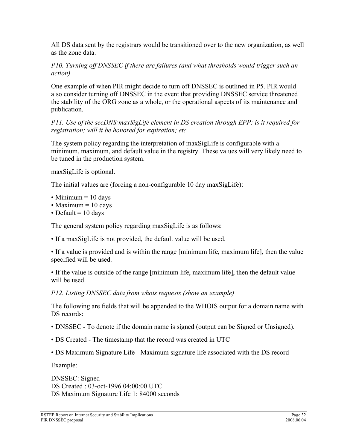All DS data sent by the registrars would be transitioned over to the new organization, as well as the zone data.

*P10. Turning off DNSSEC if there are failures (and what thresholds would trigger such an action)*

One example of when PIR might decide to turn off DNSSEC is outlined in P5. PIR would also consider turning off DNSSEC in the event that providing DNSSEC service threatened the stability of the ORG zone as a whole, or the operational aspects of its maintenance and publication.

*P11. Use of the secDNS:maxSigLife element in DS creation through EPP: is it required for registration; will it be honored for expiration; etc.*

The system policy regarding the interpretation of maxSigLife is configurable with a minimum, maximum, and default value in the registry. These values will very likely need to be tuned in the production system.

maxSigLife is optional.

The initial values are (forcing a non-configurable 10 day maxSigLife):

- Minimum  $= 10$  days
- Maximum  $= 10$  days
- Default  $= 10$  days

The general system policy regarding maxSigLife is as follows:

• If a maxSigLife is not provided, the default value will be used.

• If a value is provided and is within the range [minimum life, maximum life], then the value specified will be used.

• If the value is outside of the range [minimum life, maximum life], then the default value will be used.

*P12. Listing DNSSEC data from whois requests (show an example)*

The following are fields that will be appended to the WHOIS output for a domain name with DS records:

- DNSSEC To denote if the domain name is signed (output can be Signed or Unsigned).
- DS Created The timestamp that the record was created in UTC
- DS Maximum Signature Life Maximum signature life associated with the DS record

Example:

DNSSEC: Signed DS Created : 03-oct-1996 04:00:00 UTC DS Maximum Signature Life 1: 84000 seconds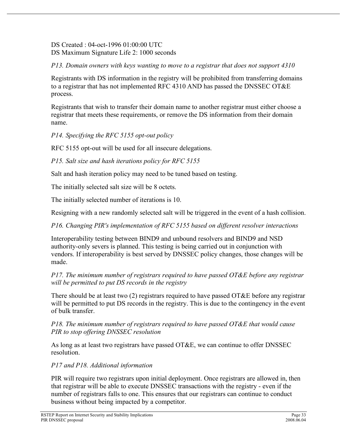DS Created : 04-oct-1996 01:00:00 UTC DS Maximum Signature Life 2: 1000 seconds

*P13. Domain owners with keys wanting to move to a registrar that does not support 4310*

Registrants with DS information in the registry will be prohibited from transferring domains to a registrar that has not implemented RFC 4310 AND has passed the DNSSEC OT&E process.

Registrants that wish to transfer their domain name to another registrar must either choose a registrar that meets these requirements, or remove the DS information from their domain name.

*P14. Specifying the RFC 5155 opt-out policy*

RFC 5155 opt-out will be used for all insecure delegations.

*P15. Salt size and hash iterations policy for RFC 5155*

Salt and hash iteration policy may need to be tuned based on testing.

The initially selected salt size will be 8 octets.

The initially selected number of iterations is 10.

Resigning with a new randomly selected salt will be triggered in the event of a hash collision.

*P16. Changing PIR's implementation of RFC 5155 based on different resolver interactions*

Interoperability testing between BIND9 and unbound resolvers and BIND9 and NSD authority-only severs is planned. This testing is being carried out in conjunction with vendors. If interoperability is best served by DNSSEC policy changes, those changes will be made.

*P17. The minimum number of registrars required to have passed OT&E before any registrar will be permitted to put DS records in the registry*

There should be at least two (2) registrars required to have passed OT&E before any registrar will be permitted to put DS records in the registry. This is due to the contingency in the event of bulk transfer.

*P18. The minimum number of registrars required to have passed OT&E that would cause PIR to stop offering DNSSEC resolution*

As long as at least two registrars have passed OT&E, we can continue to offer DNSSEC resolution.

#### *P17 and P18. Additional information*

PIR will require two registrars upon initial deployment. Once registrars are allowed in, then that registrar will be able to execute DNSSEC transactions with the registry - even if the number of registrars falls to one. This ensures that our registrars can continue to conduct business without being impacted by a competitor.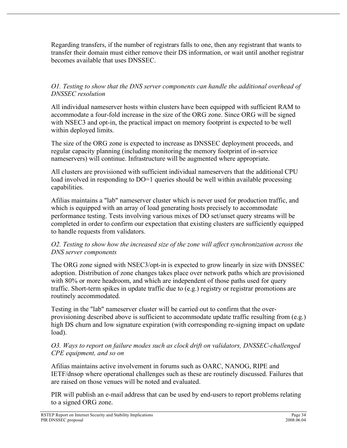Regarding transfers, if the number of registrars falls to one, then any registrant that wants to transfer their domain must either remove their DS information, or wait until another registrar becomes available that uses DNSSEC.

#### *O1. Testing to show that the DNS server components can handle the additional overhead of DNSSEC resolution*

All individual nameserver hosts within clusters have been equipped with sufficient RAM to accommodate a four-fold increase in the size of the ORG zone. Since ORG will be signed with NSEC3 and opt-in, the practical impact on memory footprint is expected to be well within deployed limits.

The size of the ORG zone is expected to increase as DNSSEC deployment proceeds, and regular capacity planning (including monitoring the memory footprint of in-service nameservers) will continue. Infrastructure will be augmented where appropriate.

All clusters are provisioned with sufficient individual nameservers that the additional CPU load involved in responding to DO=1 queries should be well within available processing capabilities.

Afilias maintains a "lab" nameserver cluster which is never used for production traffic, and which is equipped with an array of load generating hosts precisely to accommodate performance testing. Tests involving various mixes of DO set/unset query streams will be completed in order to confirm our expectation that existing clusters are sufficiently equipped to handle requests from validators.

#### *O2. Testing to show how the increased size of the zone will affect synchronization across the DNS server components*

The ORG zone signed with NSEC3/opt-in is expected to grow linearly in size with DNSSEC adoption. Distribution of zone changes takes place over network paths which are provisioned with 80% or more headroom, and which are independent of those paths used for query traffic. Short-term spikes in update traffic due to (e.g.) registry or registrar promotions are routinely accommodated.

Testing in the "lab" nameserver cluster will be carried out to confirm that the overprovisioning described above is sufficient to accommodate update traffic resulting from (e.g.) high DS churn and low signature expiration (with corresponding re-signing impact on update load).

#### *O3. Ways to report on failure modes such as clock drift on validators, DNSSEC-challenged CPE equipment, and so on*

Afilias maintains active involvement in forums such as OARC, NANOG, RIPE and IETF/dnsop where operational challenges such as these are routinely discussed. Failures that are raised on those venues will be noted and evaluated.

PIR will publish an e-mail address that can be used by end-users to report problems relating to a signed ORG zone.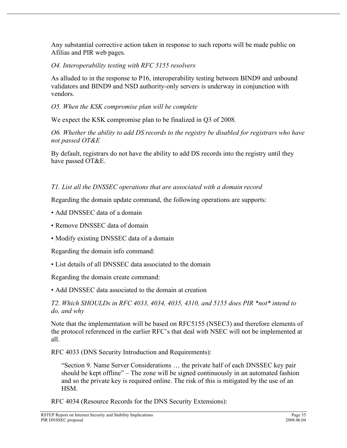Any substantial corrective action taken in response to such reports will be made public on Afilias and PIR web pages.

*O4. Interoperability testing with RFC 5155 resolvers*

As alluded to in the response to P16, interoperability testing between BIND9 and unbound validators and BIND9 and NSD authority-only servers is underway in conjunction with vendors.

*O5. When the KSK compromise plan will be complete*

We expect the KSK compromise plan to be finalized in Q3 of 2008.

*O6. Whether the ability to add DS records to the registry be disabled for registrars who have not passed OT&E*

By default, registrars do not have the ability to add DS records into the registry until they have passed OT&E.

#### *T1. List all the DNSSEC operations that are associated with a domain record*

Regarding the domain update command, the following operations are supports:

- Add DNSSEC data of a domain
- Remove DNSSEC data of domain
- Modify existing DNSSEC data of a domain

Regarding the domain info command:

• List details of all DNSSEC data associated to the domain

Regarding the domain create command:

• Add DNSSEC data associated to the domain at creation

*T2. Which SHOULDs in RFC 4033, 4034, 4035, 4310, and 5155 does PIR \*not\* intend to do, and why*

Note that the implementation will be based on RFC5155 (NSEC3) and therefore elements of the protocol referenced in the earlier RFC's that deal with NSEC will not be implemented at all.

RFC 4033 (DNS Security Introduction and Requirements):

"Section 9. Name Server Considerations … the private half of each DNSSEC key pair should be kept offline" – The zone will be signed continuously in an automated fashion and so the private key is required online. The risk of this is mitigated by the use of an HSM.

RFC 4034 (Resource Records for the DNS Security Extensions):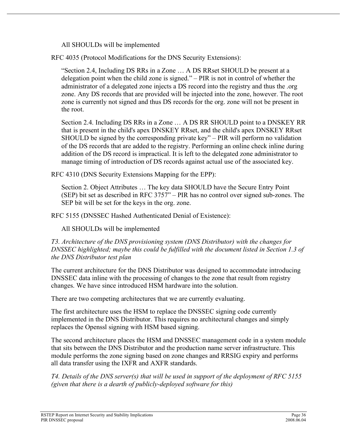All SHOULDs will be implemented

RFC 4035 (Protocol Modifications for the DNS Security Extensions):

"Section 2.4, Including DS RRs in a Zone … A DS RRset SHOULD be present at a delegation point when the child zone is signed." – PIR is not in control of whether the administrator of a delegated zone injects a DS record into the registry and thus the .org zone. Any DS records that are provided will be injected into the zone, however. The root zone is currently not signed and thus DS records for the org. zone will not be present in the root.

Section 2.4. Including DS RRs in a Zone … A DS RR SHOULD point to a DNSKEY RR that is present in the child's apex DNSKEY RRset, and the child's apex DNSKEY RRset SHOULD be signed by the corresponding private key" – PIR will perform no validation of the DS records that are added to the registry. Performing an online check inline during addition of the DS record is impractical. It is left to the delegated zone administrator to manage timing of introduction of DS records against actual use of the associated key.

RFC 4310 (DNS Security Extensions Mapping for the EPP):

Section 2. Object Attributes … The key data SHOULD have the Secure Entry Point (SEP) bit set as described in RFC 3757" – PIR has no control over signed sub-zones. The SEP bit will be set for the keys in the org. zone.

RFC 5155 (DNSSEC Hashed Authenticated Denial of Existence):

All SHOULDs will be implemented

*T3. Architecture of the DNS provisioning system (DNS Distributor) with the changes for DNSSEC highlighted; maybe this could be fulfilled with the document listed in Section 1.3 of the DNS Distributor test plan*

The current architecture for the DNS Distributor was designed to accommodate introducing DNSSEC data inline with the processing of changes to the zone that result from registry changes. We have since introduced HSM hardware into the solution.

There are two competing architectures that we are currently evaluating.

The first architecture uses the HSM to replace the DNSSEC signing code currently implemented in the DNS Distributor. This requires no architectural changes and simply replaces the Openssl signing with HSM based signing.

The second architecture places the HSM and DNSSEC management code in a system module that sits between the DNS Distributor and the production name server infrastructure. This module performs the zone signing based on zone changes and RRSIG expiry and performs all data transfer using the IXFR and AXFR standards.

*T4. Details of the DNS server(s) that will be used in support of the deployment of RFC 5155 (given that there is a dearth of publicly-deployed software for this)*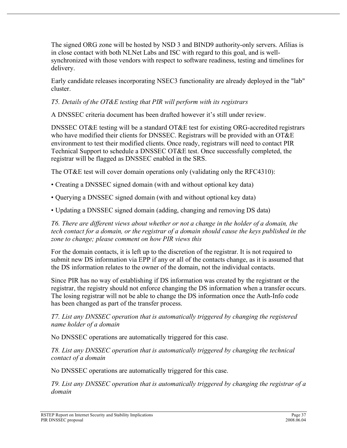The signed ORG zone will be hosted by NSD 3 and BIND9 authority-only servers. Afilias is in close contact with both NLNet Labs and ISC with regard to this goal, and is wellsynchronized with those vendors with respect to software readiness, testing and timelines for delivery.

Early candidate releases incorporating NSEC3 functionality are already deployed in the "lab" cluster.

*T5. Details of the OT&E testing that PIR will perform with its registrars*

A DNSSEC criteria document has been drafted however it's still under review.

DNSSEC OT&E testing will be a standard OT&E test for existing ORG-accredited registrars who have modified their clients for DNSSEC. Registrars will be provided with an OT&E environment to test their modified clients. Once ready, registrars will need to contact PIR Technical Support to schedule a DNSSEC OT&E test. Once successfully completed, the registrar will be flagged as DNSSEC enabled in the SRS.

The OT&E test will cover domain operations only (validating only the RFC4310):

- Creating a DNSSEC signed domain (with and without optional key data)
- Querying a DNSSEC signed domain (with and without optional key data)

• Updating a DNSSEC signed domain (adding, changing and removing DS data)

*T6. There are different views about whether or not a change in the holder of a domain, the tech contact for a domain, or the registrar of a domain should cause the keys published in the zone to change; please comment on how PIR views this*

For the domain contacts, it is left up to the discretion of the registrar. It is not required to submit new DS information via EPP if any or all of the contacts change, as it is assumed that the DS information relates to the owner of the domain, not the individual contacts.

Since PIR has no way of establishing if DS information was created by the registrant or the registrar, the registry should not enforce changing the DS information when a transfer occurs. The losing registrar will not be able to change the DS information once the Auth-Info code has been changed as part of the transfer process.

*T7. List any DNSSEC operation that is automatically triggered by changing the registered name holder of a domain*

No DNSSEC operations are automatically triggered for this case.

*T8. List any DNSSEC operation that is automatically triggered by changing the technical contact of a domain*

No DNSSEC operations are automatically triggered for this case.

*T9. List any DNSSEC operation that is automatically triggered by changing the registrar of a domain*